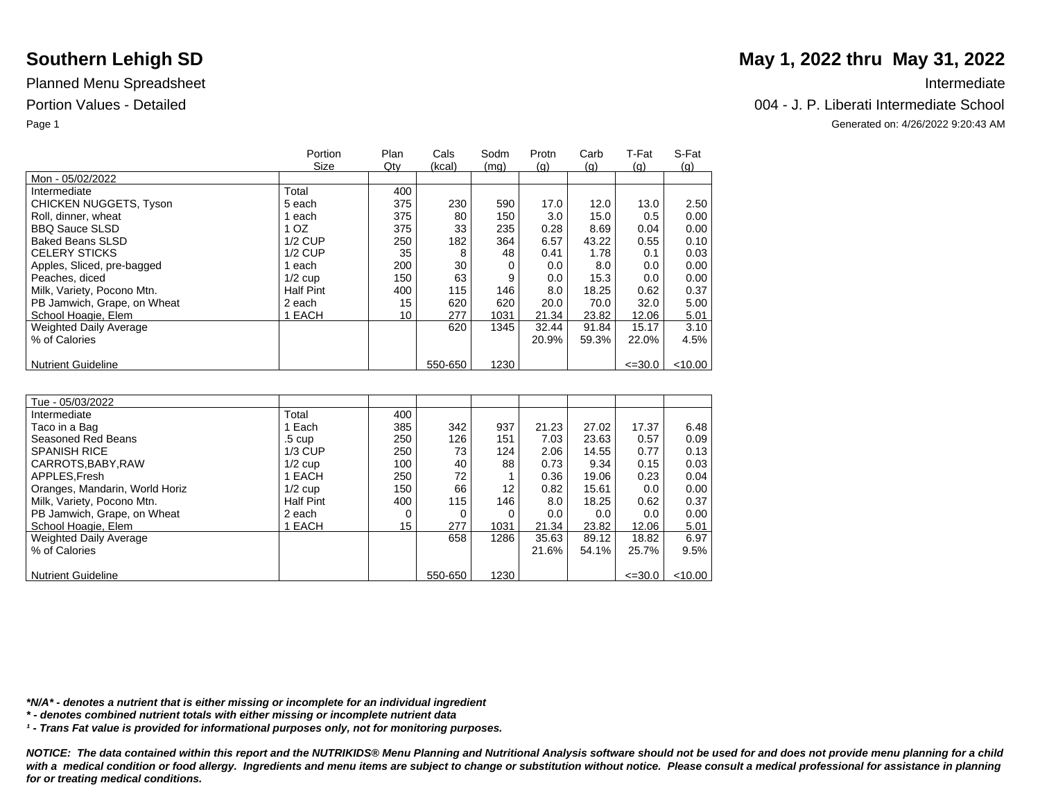|                               | Portion          | Plan            | Cals    | Sodm | Protn | Carb  | T-Fat       | S-Fat   |
|-------------------------------|------------------|-----------------|---------|------|-------|-------|-------------|---------|
|                               | Size             | Qty             | (kcal)  | (mq) | (q)   | (q)   | (q)         | (q)     |
| Mon - 05/02/2022              |                  |                 |         |      |       |       |             |         |
| Intermediate                  | Total            | 400             |         |      |       |       |             |         |
| <b>CHICKEN NUGGETS, Tyson</b> | 5 each           | 375             | 230     | 590  | 17.0  | 12.0  | 13.0        | 2.50    |
| Roll, dinner, wheat           | each             | 375             | 80      | 150  | 3.0   | 15.0  | 0.5         | 0.00    |
| <b>BBQ Sauce SLSD</b>         | OZ.              | 375             | 33      | 235  | 0.28  | 8.69  | 0.04        | 0.00    |
| <b>Baked Beans SLSD</b>       | $1/2$ CUP        | 250             | 182     | 364  | 6.57  | 43.22 | 0.55        | 0.10    |
| <b>CELERY STICKS</b>          | $1/2$ CUP        | 35              | 8       | 48   | 0.41  | 1.78  | 0.1         | 0.03    |
| Apples, Sliced, pre-bagged    | each             | 200             | 30      |      | 0.0   | 8.0   | 0.0         | 0.00    |
| Peaches, diced                | $1/2$ cup        | 150             | 63      | 9    | 0.0   | 15.3  | 0.0         | 0.00    |
| Milk, Variety, Pocono Mtn.    | <b>Half Pint</b> | 400             | 115     | 146  | 8.0   | 18.25 | 0.62        | 0.37    |
| PB Jamwich, Grape, on Wheat   | 2 each           | 15              | 620     | 620  | 20.0  | 70.0  | 32.0        | 5.00    |
| School Hoagie, Elem           | EACH             | 10 <sup>1</sup> | 277     | 1031 | 21.34 | 23.82 | 12.06       | 5.01    |
| <b>Weighted Daily Average</b> |                  |                 | 620     | 1345 | 32.44 | 91.84 | 15.17       | 3.10    |
| % of Calories                 |                  |                 |         |      | 20.9% | 59.3% | 22.0%       | 4.5%    |
|                               |                  |                 |         |      |       |       |             |         |
| <b>Nutrient Guideline</b>     |                  |                 | 550-650 | 1230 |       |       | $\leq 30.0$ | < 10.00 |

| Tue - 05/03/2022               |                  |     |         |                   |       |       |             |           |
|--------------------------------|------------------|-----|---------|-------------------|-------|-------|-------------|-----------|
| Intermediate                   | Total            | 400 |         |                   |       |       |             |           |
| Taco in a Bag                  | Each             | 385 | 342     | 937               | 21.23 | 27.02 | 17.37       | 6.48      |
| Seasoned Red Beans             | $.5 \;$ cup      | 250 | 126     | 151               | 7.03  | 23.63 | 0.57        | 0.09      |
| <b>SPANISH RICE</b>            | $1/3$ CUP        | 250 | 73      | 124               | 2.06  | 14.55 | 0.77        | 0.13      |
| CARROTS.BABY.RAW               | $1/2$ cup        | 100 | 40      | 88                | 0.73  | 9.34  | 0.15        | 0.03      |
| APPLES, Fresh                  | EACH             | 250 | 72      |                   | 0.36  | 19.06 | 0.23        | 0.04      |
| Oranges, Mandarin, World Horiz | $1/2$ cup        | 150 | 66      | $12 \overline{ }$ | 0.82  | 15.61 | 0.0         | 0.00      |
| Milk, Variety, Pocono Mtn.     | <b>Half Pint</b> | 400 | 115     | 146               | 8.0   | 18.25 | 0.62        | 0.37      |
| PB Jamwich, Grape, on Wheat    | 2 each           |     | 0       | 0                 | 0.0   | 0.0   | 0.0         | 0.00      |
| School Hoagie, Elem            | EACH             | 15  | 277     | 1031              | 21.34 | 23.82 | 12.06       | 5.01      |
| Weighted Daily Average         |                  |     | 658     | 1286              | 35.63 | 89.12 | 18.82       | 6.97      |
| % of Calories                  |                  |     |         |                   | 21.6% | 54.1% | 25.7%       | 9.5%      |
|                                |                  |     |         |                   |       |       |             |           |
| <b>Nutrient Guideline</b>      |                  |     | 550-650 | 1230              |       |       | $\leq 30.0$ | $<$ 10.00 |

*\*N/A\* - denotes a nutrient that is either missing or incomplete for an individual ingredient*

*\* - denotes combined nutrient totals with either missing or incomplete nutrient data*

*¹ - Trans Fat value is provided for informational purposes only, not for monitoring purposes.*

*NOTICE: The data contained within this report and the NUTRIKIDS® Menu Planning and Nutritional Analysis software should not be used for and does not provide menu planning for a child*  with a medical condition or food allergy. Ingredients and menu items are subject to change or substitution without notice. Please consult a medical professional for assistance in planning *for or treating medical conditions.*

# **Southern Lehigh SD** May 1, 2022 thru May 31, 2022

### Portion Values - Detailed 004 - J. P. Liberati Intermediate School

Page 1 Generated on: 4/26/2022 9:20:43 AM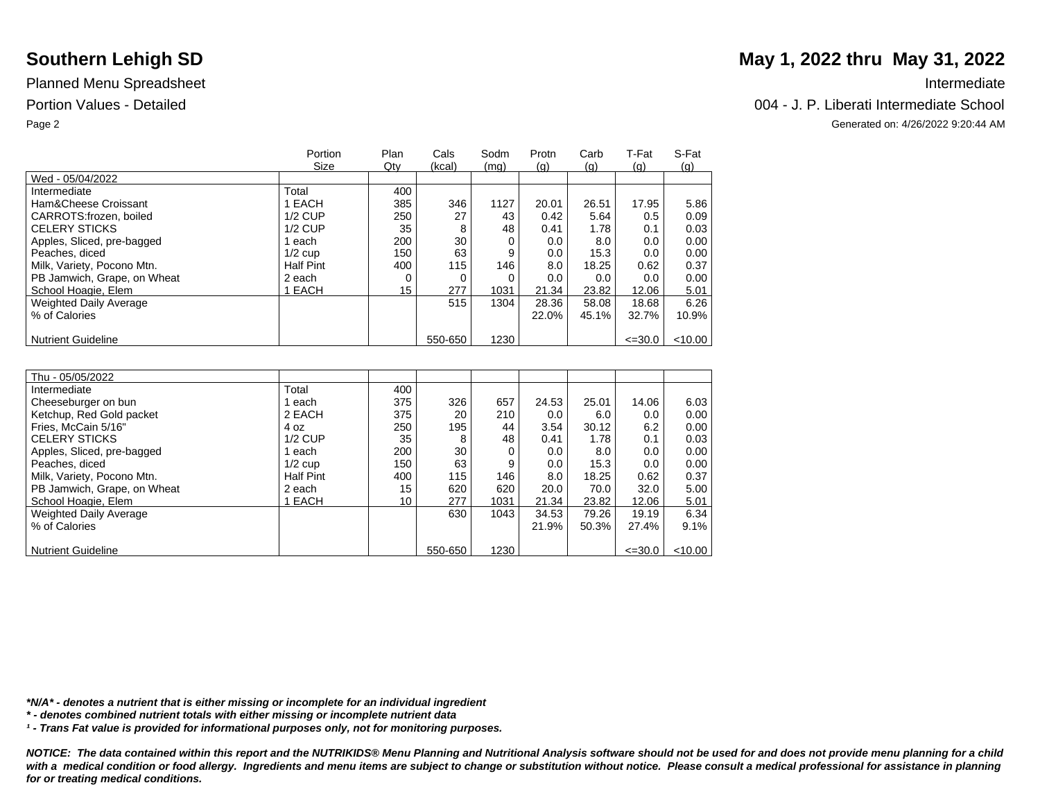## Planned Menu Spreadsheet **Intermediate** Intermediate

|                               | Portion   | Plan | Cals    | Sodm | Protn | Carb  | T-Fat       | S-Fat   |
|-------------------------------|-----------|------|---------|------|-------|-------|-------------|---------|
|                               | Size      | Qty  | (kcal)  | (mq) | (q)   | (q)   | (q)         | (q)     |
| Wed - 05/04/2022              |           |      |         |      |       |       |             |         |
| Intermediate                  | Total     | 400  |         |      |       |       |             |         |
| Ham&Cheese Croissant          | 1 EACH    | 385  | 346     | 1127 | 20.01 | 26.51 | 17.95       | 5.86    |
| CARROTS:frozen, boiled        | $1/2$ CUP | 250  | 27      | 43   | 0.42  | 5.64  | 0.5         | 0.09    |
| <b>CELERY STICKS</b>          | $1/2$ CUP | 35   | 8       | 48   | 0.41  | 1.78  | 0.1         | 0.03    |
| Apples, Sliced, pre-bagged    | each      | 200  | 30      |      | 0.0   | 8.0   | 0.0         | 0.00    |
| Peaches, diced                | $1/2$ cup | 150  | 63      | 9    | 0.0   | 15.3  | 0.0         | 0.00    |
| Milk, Variety, Pocono Mtn.    | Half Pint | 400  | 115     | 146  | 8.0   | 18.25 | 0.62        | 0.37    |
| PB Jamwich, Grape, on Wheat   | 2 each    |      |         |      | 0.0   | 0.0   | 0.0         | 0.00    |
| School Hoagie, Elem           | 1 EACH    | 15   | 277     | 1031 | 21.34 | 23.82 | 12.06       | 5.01    |
| <b>Weighted Daily Average</b> |           |      | 515     | 1304 | 28.36 | 58.08 | 18.68       | 6.26    |
| % of Calories                 |           |      |         |      | 22.0% | 45.1% | 32.7%       | 10.9%   |
|                               |           |      |         |      |       |       |             |         |
| <b>Nutrient Guideline</b>     |           |      | 550-650 | 1230 |       |       | $\leq 30.0$ | < 10.00 |

| Thu - 05/05/2022              |                  |                  |         |      |         |       |             |         |
|-------------------------------|------------------|------------------|---------|------|---------|-------|-------------|---------|
| Intermediate                  | Total            | 400              |         |      |         |       |             |         |
| Cheeseburger on bun           | each             | 375              | 326     | 657  | 24.53   | 25.01 | 14.06       | 6.03    |
| Ketchup, Red Gold packet      | 2 EACH           | 375              | 20      | 210  | $0.0\,$ | 6.0   | 0.0         | 0.00    |
| Fries, McCain 5/16"           | 4 oz             | 250              | 195     | 44   | 3.54    | 30.12 | 6.2         | 0.00    |
| <b>CELERY STICKS</b>          | $1/2$ CUP        | 35               | 8       | 48   | 0.41    | 1.78  | 0.1         | 0.03    |
| Apples, Sliced, pre-bagged    | each             | 200              | 30      | 0    | 0.0     | 8.0   | 0.0         | 0.00    |
| Peaches, diced                | $1/2$ cup        | 150 <sub>1</sub> | 63      | 9    | 0.0     | 15.3  | 0.0         | 0.00    |
| Milk, Variety, Pocono Mtn.    | <b>Half Pint</b> | 400              | 115     | 146  | 8.0     | 18.25 | 0.62        | 0.37    |
| PB Jamwich, Grape, on Wheat   | 2 each           | 15               | 620     | 620  | 20.0    | 70.0  | 32.0        | 5.00    |
| School Hoagie, Elem           | EACH             | 10               | 277     | 1031 | 21.34   | 23.82 | 12.06       | 5.01    |
| <b>Weighted Daily Average</b> |                  |                  | 630     | 1043 | 34.53   | 79.26 | 19.19       | 6.34    |
| % of Calories                 |                  |                  |         |      | 21.9%   | 50.3% | 27.4%       | 9.1%    |
|                               |                  |                  |         |      |         |       |             |         |
| <b>Nutrient Guideline</b>     |                  |                  | 550-650 | 1230 |         |       | $\leq 30.0$ | < 10.00 |

*\*N/A\* - denotes a nutrient that is either missing or incomplete for an individual ingredient*

*\* - denotes combined nutrient totals with either missing or incomplete nutrient data*

*¹ - Trans Fat value is provided for informational purposes only, not for monitoring purposes.*

*NOTICE: The data contained within this report and the NUTRIKIDS® Menu Planning and Nutritional Analysis software should not be used for and does not provide menu planning for a child*  with a medical condition or food allergy. Ingredients and menu items are subject to change or substitution without notice. Please consult a medical professional for assistance in planning *for or treating medical conditions.*

# **Southern Lehigh SD** May 1, 2022 thru May 31, 2022

### Portion Values - Detailed Chool and The Chool and The Chool and The Chool and The Chool and The Chool and The Chool and The Chool and The Chool and The Chool and The Chool and The Chool and The Chool and The Chool and The

Page 2 Generated on: 4/26/2022 9:20:44 AM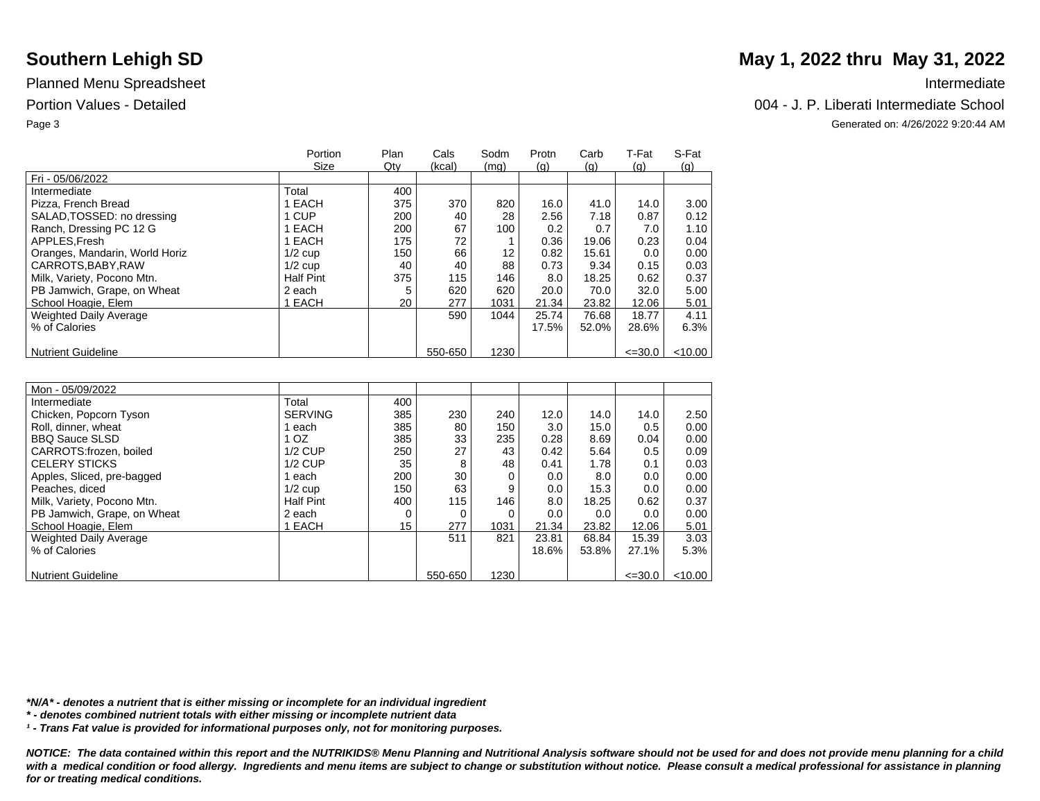|                                | Portion          | Plan | Cals    | Sodm | Protn | Carb  | T-Fat       | S-Fat      |
|--------------------------------|------------------|------|---------|------|-------|-------|-------------|------------|
|                                | Size             | Qty  | (kcal)  | (mq) | (q)   | (q)   | (q)         | <u>(g)</u> |
| Fri - 05/06/2022               |                  |      |         |      |       |       |             |            |
| Intermediate                   | Total            | 400  |         |      |       |       |             |            |
| Pizza, French Bread            | 1 EACH           | 375  | 370     | 820  | 16.0  | 41.0  | 14.0        | 3.00       |
| SALAD, TOSSED: no dressing     | 1 CUP            | 200  | 40      | 28   | 2.56  | 7.18  | 0.87        | 0.12       |
| Ranch, Dressing PC 12 G        | 1 EACH           | 200  | 67      | 100  | 0.2   | 0.7   | 7.0         | 1.10       |
| APPLES.Fresh                   | 1 EACH           | 175  | 72      |      | 0.36  | 19.06 | 0.23        | 0.04       |
| Oranges, Mandarin, World Horiz | $1/2$ cup        | 150  | 66      | 12   | 0.82  | 15.61 | 0.0         | 0.00       |
| CARROTS.BABY.RAW               | $1/2$ cup        | 40   | 40      | 88   | 0.73  | 9.34  | 0.15        | 0.03       |
| Milk, Variety, Pocono Mtn.     | <b>Half Pint</b> | 375  | 115     | 146  | 8.0   | 18.25 | 0.62        | 0.37       |
| PB Jamwich, Grape, on Wheat    | 2 each           |      | 620     | 620  | 20.0  | 70.0  | 32.0        | 5.00       |
| School Hoagie, Elem            | 1 EACH           | 20   | 277     | 1031 | 21.34 | 23.82 | 12.06       | 5.01       |
| <b>Weighted Daily Average</b>  |                  |      | 590     | 1044 | 25.74 | 76.68 | 18.77       | 4.11       |
| % of Calories                  |                  |      |         |      | 17.5% | 52.0% | 28.6%       | 6.3%       |
|                                |                  |      |         |      |       |       |             |            |
| <b>Nutrient Guideline</b>      |                  |      | 550-650 | 1230 |       |       | $\leq 30.0$ | $<$ 10.00  |

| Mon - 05/09/2022              |                  |     |         |          |       |       |             |           |
|-------------------------------|------------------|-----|---------|----------|-------|-------|-------------|-----------|
| Intermediate                  | Total            | 400 |         |          |       |       |             |           |
| Chicken, Popcorn Tyson        | <b>SERVING</b>   | 385 | 230     | 240      | 12.0  | 14.0  | 14.0        | 2.50      |
| Roll, dinner, wheat           | each             | 385 | 80      | 150      | 3.0   | 15.0  | 0.5         | 0.00      |
| <b>BBQ Sauce SLSD</b>         | 1 OZ             | 385 | 33      | 235      | 0.28  | 8.69  | 0.04        | 0.00      |
| CARROTS:frozen, boiled        | $1/2$ CUP        | 250 | 27      | 43       | 0.42  | 5.64  | 0.5         | 0.09      |
| <b>CELERY STICKS</b>          | $1/2$ CUP        | 35  | 8       | 48       | 0.41  | 1.78  | 0.1         | 0.03      |
| Apples, Sliced, pre-bagged    | each             | 200 | 30      | $\Omega$ | 0.0   | 8.0   | 0.0         | 0.00      |
| Peaches, diced                | $1/2$ cup        | 150 | 63      | 9        | 0.0   | 15.3  | 0.0         | 0.00      |
| Milk, Variety, Pocono Mtn.    | <b>Half Pint</b> | 400 | 115     | 146      | 8.0   | 18.25 | 0.62        | 0.37      |
| PB Jamwich, Grape, on Wheat   | 2 each           | 0   |         | 0        | 0.0   | 0.0   | 0.0         | 0.00      |
| School Hoagie, Elem           | 1 EACH           | 15  | 277     | 1031     | 21.34 | 23.82 | 12.06       | 5.01      |
| <b>Weighted Daily Average</b> |                  |     | 511     | 821      | 23.81 | 68.84 | 15.39       | 3.03      |
| % of Calories                 |                  |     |         |          | 18.6% | 53.8% | 27.1%       | 5.3%      |
|                               |                  |     |         |          |       |       |             |           |
| <b>Nutrient Guideline</b>     |                  |     | 550-650 | 1230     |       |       | $\leq 30.0$ | $<$ 10.00 |

*\*N/A\* - denotes a nutrient that is either missing or incomplete for an individual ingredient*

*\* - denotes combined nutrient totals with either missing or incomplete nutrient data*

*¹ - Trans Fat value is provided for informational purposes only, not for monitoring purposes.*

*NOTICE: The data contained within this report and the NUTRIKIDS® Menu Planning and Nutritional Analysis software should not be used for and does not provide menu planning for a child*  with a medical condition or food allergy. Ingredients and menu items are subject to change or substitution without notice. Please consult a medical professional for assistance in planning *for or treating medical conditions.*

# **Southern Lehigh SD** May 1, 2022 thru May 31, 2022

### Portion Values - Detailed 004 - J. P. Liberati Intermediate School

Page 3 Generated on: 4/26/2022 9:20:44 AM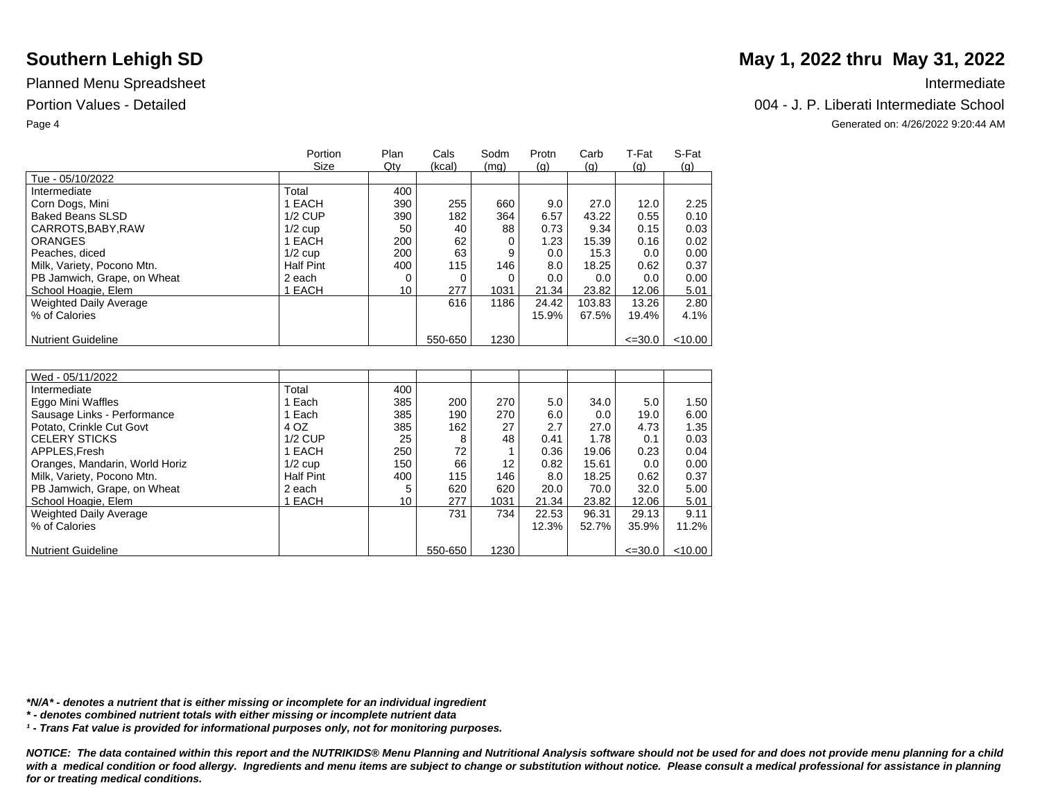|                               | Portion<br>Size  | Plan<br>Qty | Cals<br>(kcal) | Sodm<br>(mq) | Protn<br>(q) | Carb<br>(q) | T-Fat<br>(q) | S-Fat<br>(q) |
|-------------------------------|------------------|-------------|----------------|--------------|--------------|-------------|--------------|--------------|
| Tue - 05/10/2022              |                  |             |                |              |              |             |              |              |
| Intermediate                  | Total            | 400         |                |              |              |             |              |              |
| Corn Dogs, Mini               | 1 EACH           | 390         | 255            | 660          | 9.0          | 27.0        | 12.0         | 2.25         |
| <b>Baked Beans SLSD</b>       | $1/2$ CUP        | 390         | 182            | 364          | 6.57         | 43.22       | 0.55         | 0.10         |
| CARROTS, BABY, RAW            | $1/2$ cup        | 50          | 40             | 88           | 0.73         | 9.34        | 0.15         | 0.03         |
| <b>ORANGES</b>                | 1 EACH           | 200         | 62             | 0            | 1.23         | 15.39       | 0.16         | 0.02         |
| Peaches, diced                | $1/2$ cup        | 200         | 63             | 9            | 0.0          | 15.3        | 0.0          | 0.00         |
| Milk, Variety, Pocono Mtn.    | <b>Half Pint</b> | 400         | 115            | 146          | 8.0          | 18.25       | 0.62         | 0.37         |
| PB Jamwich, Grape, on Wheat   | 2 each           | 0           |                | $\Omega$     | 0.0          | 0.0         | 0.0          | 0.00         |
| School Hoagie, Elem           | 1 EACH           | 10          | 277            | 1031         | 21.34        | 23.82       | 12.06        | 5.01         |
| <b>Weighted Daily Average</b> |                  |             | 616            | 1186         | 24.42        | 103.83      | 13.26        | 2.80         |
| % of Calories                 |                  |             |                |              | 15.9%        | 67.5%       | 19.4%        | 4.1%         |
|                               |                  |             |                |              |              |             |              |              |
| <b>Nutrient Guideline</b>     |                  |             | 550-650        | 1230         |              |             | $\leq 30.0$  | $<$ 10.00    |

| Wed - 05/11/2022               |                  |     |         |                 |       |       |             |        |
|--------------------------------|------------------|-----|---------|-----------------|-------|-------|-------------|--------|
| Intermediate                   | Total            | 400 |         |                 |       |       |             |        |
| Eggo Mini Waffles              | Each             | 385 | 200     | 270             | 5.0   | 34.0  | 5.0         | 1.50   |
| Sausage Links - Performance    | 1 Each           | 385 | 190     | 270             | 6.0   | 0.0   | 19.0        | 6.00   |
| Potato, Crinkle Cut Govt       | 4 OZ             | 385 | 162     | 27              | 2.7   | 27.0  | 4.73        | 1.35   |
| <b>CELERY STICKS</b>           | $1/2$ CUP        | 25  | 8       | 48              | 0.41  | 1.78  | 0.1         | 0.03   |
| APPLES.Fresh                   | 1 EACH           | 250 | 72      |                 | 0.36  | 19.06 | 0.23        | 0.04   |
| Oranges, Mandarin, World Horiz | $1/2$ cup        | 150 | 66      | 12 <sup>2</sup> | 0.82  | 15.61 | 0.0         | 0.00   |
| Milk, Variety, Pocono Mtn.     | <b>Half Pint</b> | 400 | 115     | 146             | 8.0   | 18.25 | 0.62        | 0.37   |
| PB Jamwich, Grape, on Wheat    | 2 each           | 5   | 620     | 620             | 20.0  | 70.0  | 32.0        | 5.00   |
| School Hoagie, Elem            | <b>EACH</b>      | 10  | 277     | 1031            | 21.34 | 23.82 | 12.06       | 5.01   |
| <b>Weighted Daily Average</b>  |                  |     | 731     | 734             | 22.53 | 96.31 | 29.13       | 9.11   |
| % of Calories                  |                  |     |         |                 | 12.3% | 52.7% | 35.9%       | 11.2%  |
|                                |                  |     |         |                 |       |       |             |        |
| <b>Nutrient Guideline</b>      |                  |     | 550-650 | 1230            |       |       | $\leq 30.0$ | <10.00 |

*\*N/A\* - denotes a nutrient that is either missing or incomplete for an individual ingredient*

*\* - denotes combined nutrient totals with either missing or incomplete nutrient data*

*¹ - Trans Fat value is provided for informational purposes only, not for monitoring purposes.*

*NOTICE: The data contained within this report and the NUTRIKIDS® Menu Planning and Nutritional Analysis software should not be used for and does not provide menu planning for a child*  with a medical condition or food allergy. Ingredients and menu items are subject to change or substitution without notice. Please consult a medical professional for assistance in planning *for or treating medical conditions.*

# **Southern Lehigh SD** May 1, 2022 thru May 31, 2022

### Portion Values - Detailed Chool and The Chool and The Chool and The Chool and The Chool and The Chool and The Chool and The Chool and The Chool and The Chool and The Chool and The Chool and The Chool and The Chool and The

Page 4 Generated on: 4/26/2022 9:20:44 AM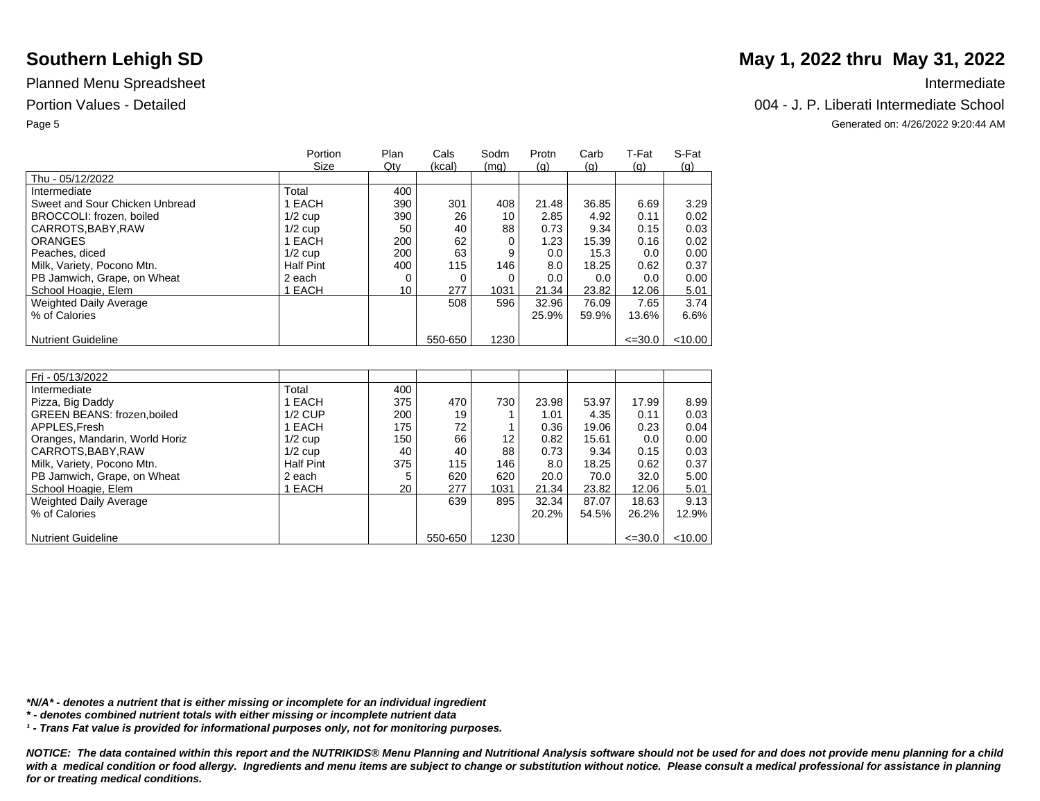|                                | Portion<br>Size  | Plan<br>Qty | Cals<br>(kcal) | Sodm     | Protn | Carb  | T-Fat       | S-Fat   |
|--------------------------------|------------------|-------------|----------------|----------|-------|-------|-------------|---------|
| Thu - 05/12/2022               |                  |             |                | (mq)     | (q)   | (q)   | (q)         | (q)     |
| Intermediate                   | Total            | 400         |                |          |       |       |             |         |
| Sweet and Sour Chicken Unbread | 1 EACH           | 390         | 301            | 408      | 21.48 | 36.85 | 6.69        | 3.29    |
| BROCCOLI: frozen, boiled       | $1/2$ cup        | 390         | 26             | 10       | 2.85  | 4.92  | 0.11        | 0.02    |
| CARROTS, BABY, RAW             | $1/2$ cup        | 50          | 40             | 88       | 0.73  | 9.34  | 0.15        | 0.03    |
| <b>ORANGES</b>                 | 1 EACH           | 200         | 62             | $\Omega$ | 1.23  | 15.39 | 0.16        | 0.02    |
| Peaches, diced                 | $1/2$ cup        | 200         | 63             | 9        | 0.0   | 15.3  | 0.0         | 0.00    |
| Milk, Variety, Pocono Mtn.     | <b>Half Pint</b> | 400         | 115            | 146      | 8.0   | 18.25 | 0.62        | 0.37    |
| PB Jamwich, Grape, on Wheat    | 2 each           |             |                | $\Omega$ | 0.0   | 0.0   | 0.0         | 0.00    |
| School Hoagie, Elem            | 1 EACH           | 10          | 277            | 1031     | 21.34 | 23.82 | 12.06       | 5.01    |
| <b>Weighted Daily Average</b>  |                  |             | 508            | 596      | 32.96 | 76.09 | 7.65        | 3.74    |
| % of Calories                  |                  |             |                |          | 25.9% | 59.9% | 13.6%       | 6.6%    |
|                                |                  |             |                |          |       |       |             |         |
| <b>Nutrient Guideline</b>      |                  |             | 550-650        | 1230     |       |       | $\leq 30.0$ | < 10.00 |

| Fri - 05/13/2022                   |                  |     |         |      |       |       |             |         |
|------------------------------------|------------------|-----|---------|------|-------|-------|-------------|---------|
| Intermediate                       | Total            | 400 |         |      |       |       |             |         |
| Pizza, Big Daddy                   | 1 EACH           | 375 | 470     | 730  | 23.98 | 53.97 | 17.99       | 8.99    |
| <b>GREEN BEANS: frozen, boiled</b> | $1/2$ CUP        | 200 | 19      |      | 1.01  | 4.35  | 0.11        | 0.03    |
| APPLES, Fresh                      | 1 EACH           | 175 | 72      |      | 0.36  | 19.06 | 0.23        | 0.04    |
| Oranges, Mandarin, World Horiz     | $1/2$ cup        | 150 | 66      | 12   | 0.82  | 15.61 | 0.0         | 0.00    |
| CARROTS, BABY, RAW                 | $1/2$ cup        | 40  | 40      | 88   | 0.73  | 9.34  | 0.15        | 0.03    |
| Milk, Variety, Pocono Mtn.         | <b>Half Pint</b> | 375 | 115     | 146  | 8.0   | 18.25 | 0.62        | 0.37    |
| PB Jamwich, Grape, on Wheat        | 2 each           | 5   | 620     | 620  | 20.0  | 70.0  | 32.0        | 5.00    |
| School Hoagie, Elem                | I EACH           | 20  | 277     | 1031 | 21.34 | 23.82 | 12.06       | 5.01    |
| Weighted Daily Average             |                  |     | 639     | 895  | 32.34 | 87.07 | 18.63       | 9.13    |
| % of Calories                      |                  |     |         |      | 20.2% | 54.5% | 26.2%       | 12.9%   |
|                                    |                  |     |         |      |       |       |             |         |
| <b>Nutrient Guideline</b>          |                  |     | 550-650 | 1230 |       |       | $\leq 30.0$ | < 10.00 |

### *\*N/A\* - denotes a nutrient that is either missing or incomplete for an individual ingredient*

*\* - denotes combined nutrient totals with either missing or incomplete nutrient data*

*¹ - Trans Fat value is provided for informational purposes only, not for monitoring purposes.*

*NOTICE: The data contained within this report and the NUTRIKIDS® Menu Planning and Nutritional Analysis software should not be used for and does not provide menu planning for a child*  with a medical condition or food allergy. Ingredients and menu items are subject to change or substitution without notice. Please consult a medical professional for assistance in planning *for or treating medical conditions.*

# **Southern Lehigh SD** May 1, 2022 thru May 31, 2022

### Portion Values - Detailed Chool and The Chool and The Chool and The Chool and The Chool and The Chool and The Chool and The Chool and The Chool and The Chool and The Chool and The Chool and The Chool and The Chool and The

Page 5 Generated on: 4/26/2022 9:20:44 AM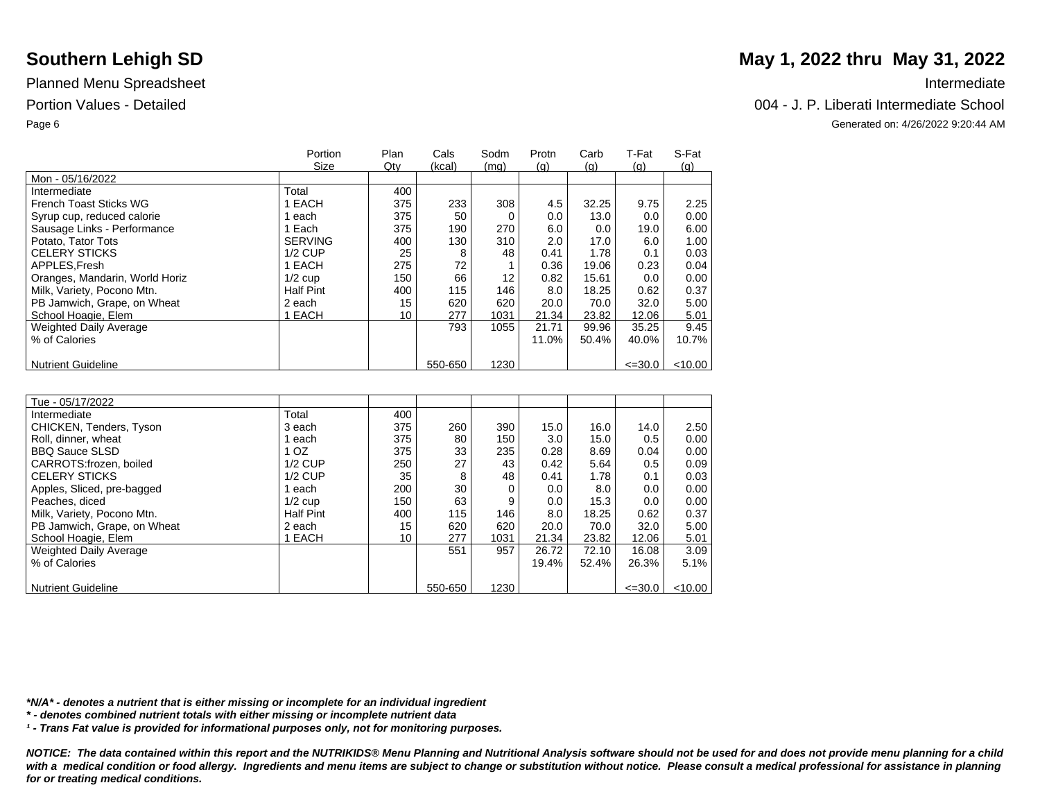|                                | Portion          | Plan | Cals    | Sodm | Protn | Carb  | T-Fat       | S-Fat      |
|--------------------------------|------------------|------|---------|------|-------|-------|-------------|------------|
|                                | Size             | Qty  | (kcal)  | (mq) | (q)   | (q)   | (q)         | <u>(g)</u> |
| Mon - 05/16/2022               |                  |      |         |      |       |       |             |            |
| Intermediate                   | Total            | 400  |         |      |       |       |             |            |
| French Toast Sticks WG         | EACH             | 375  | 233     | 308  | 4.5   | 32.25 | 9.75        | 2.25       |
| Syrup cup, reduced calorie     | each             | 375  | 50      |      | 0.0   | 13.0  | 0.0         | 0.00       |
| Sausage Links - Performance    | 1 Each           | 375  | 190     | 270  | 6.0   | 0.0   | 19.0        | 6.00       |
| Potato. Tator Tots             | <b>SERVING</b>   | 400  | 130     | 310  | 2.0   | 17.0  | 6.0         | 1.00       |
| <b>CELERY STICKS</b>           | $1/2$ CUP        | 25   | 8       | 48   | 0.41  | 1.78  | 0.1         | 0.03       |
| APPLES.Fresh                   | 1 EACH           | 275  | 72      |      | 0.36  | 19.06 | 0.23        | 0.04       |
| Oranges, Mandarin, World Horiz | $1/2$ cup        | 150  | 66      | 12   | 0.82  | 15.61 | 0.0         | 0.00       |
| Milk, Variety, Pocono Mtn.     | <b>Half Pint</b> | 400  | 115     | 146  | 8.0   | 18.25 | 0.62        | 0.37       |
| PB Jamwich, Grape, on Wheat    | 2 each           | 15   | 620     | 620  | 20.0  | 70.0  | 32.0        | 5.00       |
| School Hoagie, Elem            | 1 EACH           | 10   | 277     | 1031 | 21.34 | 23.82 | 12.06       | 5.01       |
| <b>Weighted Daily Average</b>  |                  |      | 793     | 1055 | 21.71 | 99.96 | 35.25       | 9.45       |
| % of Calories                  |                  |      |         |      | 11.0% | 50.4% | 40.0%       | 10.7%      |
|                                |                  |      |         |      |       |       |             |            |
| <b>Nutrient Guideline</b>      |                  |      | 550-650 | 1230 |       |       | $\leq 30.0$ | $<$ 10.00  |

| Tue - 05/17/2022              |                  |     |         |      |       |       |             |           |
|-------------------------------|------------------|-----|---------|------|-------|-------|-------------|-----------|
| Intermediate                  | Total            | 400 |         |      |       |       |             |           |
| CHICKEN, Tenders, Tyson       | 3 each           | 375 | 260     | 390  | 15.0  | 16.0  | 14.0        | 2.50      |
| Roll, dinner, wheat           | each             | 375 | 80      | 150  | 3.0   | 15.0  | 0.5         | 0.00      |
| <b>BBQ Sauce SLSD</b>         | 1 OZ             | 375 | 33      | 235  | 0.28  | 8.69  | 0.04        | 0.00      |
| CARROTS: frozen, boiled       | $1/2$ CUP        | 250 | 27      | 43   | 0.42  | 5.64  | 0.5         | 0.09      |
| <b>CELERY STICKS</b>          | $1/2$ CUP        | 35  | 8       | 48   | 0.41  | 1.78  | 0.1         | 0.03      |
| Apples, Sliced, pre-bagged    | each             | 200 | 30      |      | 0.0   | 8.0   | 0.0         | 0.00      |
| Peaches, diced                | $1/2$ cup        | 150 | 63      | 9    | 0.0   | 15.3  | 0.0         | 0.00      |
| Milk, Variety, Pocono Mtn.    | <b>Half Pint</b> | 400 | 115     | 146  | 8.0   | 18.25 | 0.62        | 0.37      |
| PB Jamwich, Grape, on Wheat   | 2 each           | 15  | 620     | 620  | 20.0  | 70.0  | 32.0        | 5.00      |
| School Hoagie, Elem           | EACH             | 10  | 277     | 1031 | 21.34 | 23.82 | 12.06       | 5.01      |
| <b>Weighted Daily Average</b> |                  |     | 551     | 957  | 26.72 | 72.10 | 16.08       | 3.09      |
| % of Calories                 |                  |     |         |      | 19.4% | 52.4% | 26.3%       | 5.1%      |
|                               |                  |     |         |      |       |       |             |           |
| <b>Nutrient Guideline</b>     |                  |     | 550-650 | 1230 |       |       | $\leq 30.0$ | $<$ 10.00 |

*\*N/A\* - denotes a nutrient that is either missing or incomplete for an individual ingredient*

*\* - denotes combined nutrient totals with either missing or incomplete nutrient data*

*¹ - Trans Fat value is provided for informational purposes only, not for monitoring purposes.*

*NOTICE: The data contained within this report and the NUTRIKIDS® Menu Planning and Nutritional Analysis software should not be used for and does not provide menu planning for a child*  with a medical condition or food allergy. Ingredients and menu items are subject to change or substitution without notice. Please consult a medical professional for assistance in planning *for or treating medical conditions.*

# **Southern Lehigh SD** May 1, 2022 thru May 31, 2022

### Portion Values - Detailed 004 - J. P. Liberati Intermediate School

Page 6 Generated on: 4/26/2022 9:20:44 AM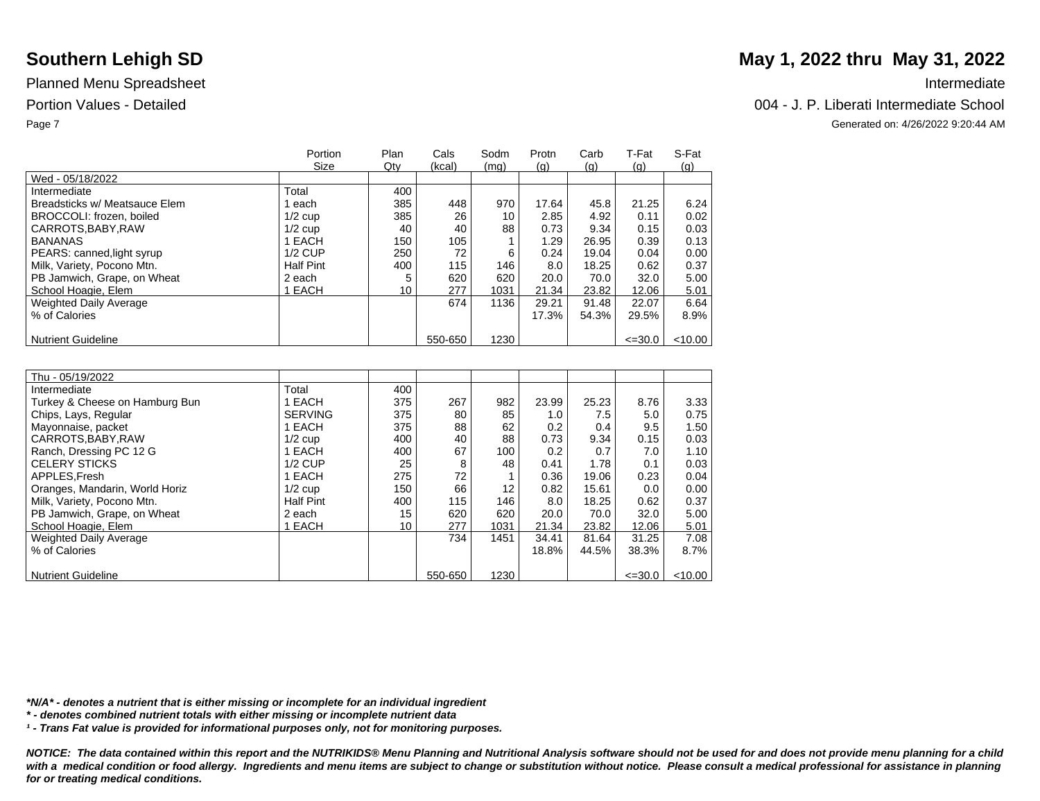|                               | Portion<br>Size | Plan<br>Qty | Cals<br>(kcal) | Sodm<br>(mq) | Protn<br><u>(g)</u> | Carb<br>(q) | T-Fat<br>(q) | S-Fat<br>(q) |
|-------------------------------|-----------------|-------------|----------------|--------------|---------------------|-------------|--------------|--------------|
| Wed - 05/18/2022              |                 |             |                |              |                     |             |              |              |
| Intermediate                  | Total           | 400         |                |              |                     |             |              |              |
| Breadsticks w/ Meatsauce Elem | each            | 385         | 448            | 970          | 17.64               | 45.8        | 21.25        | 6.24         |
| BROCCOLI: frozen, boiled      | $1/2$ cup       | 385         | 26             | 10           | 2.85                | 4.92        | 0.11         | 0.02         |
| CARROTS, BABY, RAW            | $1/2$ cup       | 40          | 40             | 88           | 0.73                | 9.34        | 0.15         | 0.03         |
| <b>BANANAS</b>                | 1 EACH          | 150         | 105            |              | 1.29                | 26.95       | 0.39         | 0.13         |
| PEARS: canned, light syrup    | $1/2$ CUP       | 250         | 72             | 6            | 0.24                | 19.04       | 0.04         | 0.00         |
| Milk, Variety, Pocono Mtn.    | Half Pint       | 400         | 115            | 146          | 8.0                 | 18.25       | 0.62         | 0.37         |
| PB Jamwich, Grape, on Wheat   | 2 each          |             | 620            | 620          | 20.0                | 70.0        | 32.0         | 5.00         |
| School Hoagie, Elem           | EACH            | 10          | 277            | 1031         | 21.34               | 23.82       | 12.06        | 5.01         |
| Weighted Daily Average        |                 |             | 674            | 1136         | 29.21               | 91.48       | 22.07        | 6.64         |
| % of Calories                 |                 |             |                |              | 17.3%               | 54.3%       | 29.5%        | 8.9%         |
|                               |                 |             |                |              |                     |             |              |              |
| <b>Nutrient Guideline</b>     |                 |             | 550-650        | 1230         |                     |             | $\leq 30.0$  | < 10.00      |

| Thu - 05/19/2022               |                  |     |         |                   |               |       |             |           |
|--------------------------------|------------------|-----|---------|-------------------|---------------|-------|-------------|-----------|
| Intermediate                   | Total            | 400 |         |                   |               |       |             |           |
| Turkey & Cheese on Hamburg Bun | EACH             | 375 | 267     | 982               | 23.99         | 25.23 | 8.76        | 3.33      |
| Chips, Lays, Regular           | <b>SERVING</b>   | 375 | 80      | 85                | 1.0           | 7.5   | 5.0         | 0.75      |
| Mayonnaise, packet             | 1 EACH           | 375 | 88      | 62                | 0.2           | 0.4   | 9.5         | 1.50      |
| CARROTS, BABY, RAW             | $1/2$ cup        | 400 | 40      | 88                | 0.73          | 9.34  | 0.15        | 0.03      |
| Ranch, Dressing PC 12 G        | EACH             | 400 | 67      | 100               | $0.2^{\circ}$ | 0.7   | 7.0         | 1.10      |
| <b>CELERY STICKS</b>           | $1/2$ CUP        | 25  | 8       | 48                | 0.41          | 1.78  | 0.1         | 0.03      |
| APPLES.Fresh                   | EACH             | 275 | 72      |                   | 0.36          | 19.06 | 0.23        | 0.04      |
| Oranges, Mandarin, World Horiz | $1/2$ cup        | 150 | 66      | $12 \overline{ }$ | 0.82          | 15.61 | 0.0         | 0.00      |
| Milk, Variety, Pocono Mtn.     | <b>Half Pint</b> | 400 | 115     | 146               | 8.0           | 18.25 | 0.62        | 0.37      |
| PB Jamwich, Grape, on Wheat    | 2 each           | 15  | 620     | 620               | 20.0          | 70.0  | 32.0        | 5.00      |
| School Hoagie, Elem            | EACH             | 10  | 277     | 1031              | 21.34         | 23.82 | 12.06       | 5.01      |
| <b>Weighted Daily Average</b>  |                  |     | 734     | 1451              | 34.41         | 81.64 | 31.25       | 7.08      |
| % of Calories                  |                  |     |         |                   | 18.8%         | 44.5% | 38.3%       | $8.7\%$   |
|                                |                  |     |         |                   |               |       |             |           |
| <b>Nutrient Guideline</b>      |                  |     | 550-650 | 1230              |               |       | $\leq 30.0$ | $<$ 10.00 |

*\*N/A\* - denotes a nutrient that is either missing or incomplete for an individual ingredient*

*\* - denotes combined nutrient totals with either missing or incomplete nutrient data*

*¹ - Trans Fat value is provided for informational purposes only, not for monitoring purposes.*

*NOTICE: The data contained within this report and the NUTRIKIDS® Menu Planning and Nutritional Analysis software should not be used for and does not provide menu planning for a child*  with a medical condition or food allergy. Ingredients and menu items are subject to change or substitution without notice. Please consult a medical professional for assistance in planning *for or treating medical conditions.*

# **Southern Lehigh SD** May 1, 2022 thru May 31, 2022

### Portion Values - Detailed 004 - J. P. Liberati Intermediate School

Page 7 Generated on: 4/26/2022 9:20:44 AM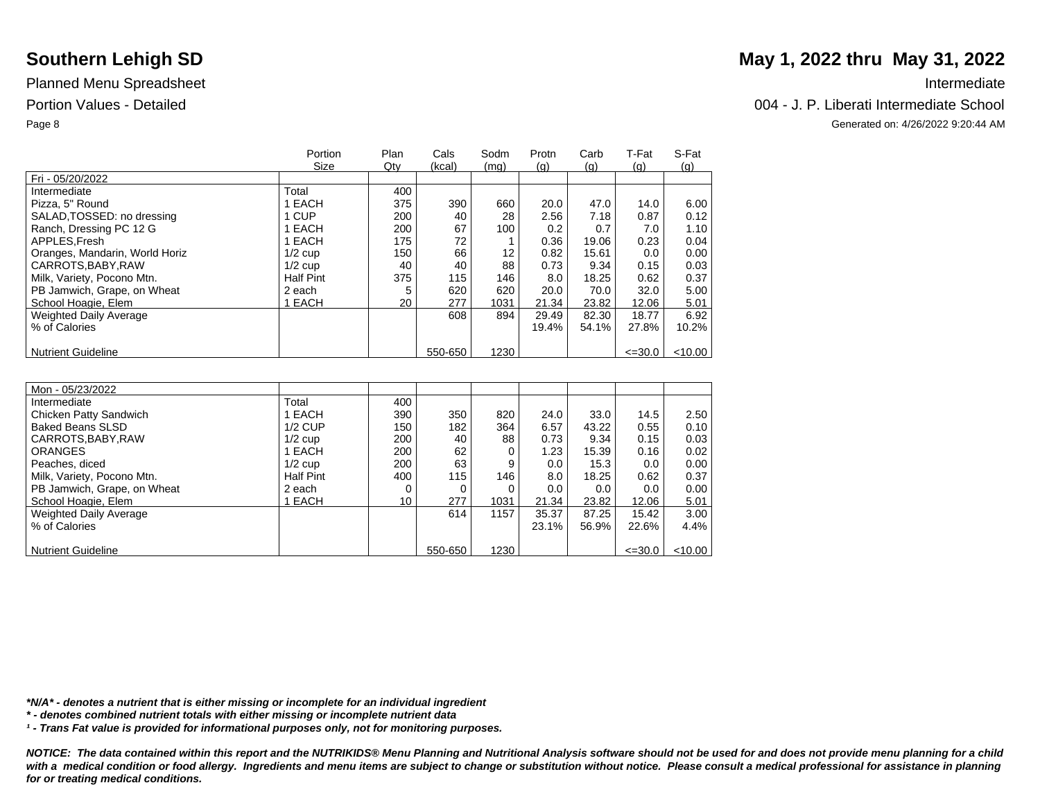|                                | Portion          | Plan | Cals    | Sodm | Protn | Carb  | T-Fat       | S-Fat      |
|--------------------------------|------------------|------|---------|------|-------|-------|-------------|------------|
|                                | Size             | Qty  | (kcal)  | (mq) | (q)   | (q)   | (q)         | <u>(g)</u> |
| Fri - 05/20/2022               |                  |      |         |      |       |       |             |            |
| Intermediate                   | Total            | 400  |         |      |       |       |             |            |
| Pizza, 5" Round                | I EACH           | 375  | 390     | 660  | 20.0  | 47.0  | 14.0        | 6.00       |
| SALAD, TOSSED: no dressing     | 1 CUP            | 200  | 40      | 28   | 2.56  | 7.18  | 0.87        | 0.12       |
| Ranch, Dressing PC 12 G        | EACH             | 200  | 67      | 100  | 0.2   | 0.7   | 7.0         | 1.10       |
| APPLES.Fresh                   | I EACH           | 175  | 72      |      | 0.36  | 19.06 | 0.23        | 0.04       |
| Oranges, Mandarin, World Horiz | $1/2$ cup        | 150  | 66      | 12   | 0.82  | 15.61 | 0.0         | 0.00       |
| CARROTS.BABY.RAW               | $1/2$ cup        | 40   | 40      | 88   | 0.73  | 9.34  | 0.15        | 0.03       |
| Milk, Variety, Pocono Mtn.     | <b>Half Pint</b> | 375  | 115     | 146  | 8.0   | 18.25 | 0.62        | 0.37       |
| PB Jamwich, Grape, on Wheat    | 2 each           | 5    | 620     | 620  | 20.0  | 70.0  | 32.0        | 5.00       |
| School Hoagie, Elem            | <b>EACH</b>      | 20   | 277     | 1031 | 21.34 | 23.82 | 12.06       | 5.01       |
| <b>Weighted Daily Average</b>  |                  |      | 608     | 894  | 29.49 | 82.30 | 18.77       | 6.92       |
| % of Calories                  |                  |      |         |      | 19.4% | 54.1% | 27.8%       | 10.2%      |
|                                |                  |      |         |      |       |       |             |            |
| <b>Nutrient Guideline</b>      |                  |      | 550-650 | 1230 |       |       | $\leq 30.0$ | $<$ 10.00  |

| Mon - 05/23/2022            |                  |     |         |      |       |       |             |           |
|-----------------------------|------------------|-----|---------|------|-------|-------|-------------|-----------|
| Intermediate                | Total            | 400 |         |      |       |       |             |           |
| Chicken Patty Sandwich      | EACH             | 390 | 350     | 820  | 24.0  | 33.0  | 14.5        | 2.50      |
| <b>Baked Beans SLSD</b>     | $1/2$ CUP        | 150 | 182     | 364  | 6.57  | 43.22 | 0.55        | 0.10      |
| CARROTS, BABY, RAW          | $1/2$ cup        | 200 | 40      | 88   | 0.73  | 9.34  | 0.15        | 0.03      |
| <b>ORANGES</b>              | 1 EACH           | 200 | 62      | 0    | 1.23  | 15.39 | 0.16        | 0.02      |
| Peaches, diced              | $1/2$ cup        | 200 | 63      | 9    | 0.0   | 15.3  | 0.0         | 0.00      |
| Milk, Variety, Pocono Mtn.  | <b>Half Pint</b> | 400 | 115     | 146  | 8.0   | 18.25 | 0.62        | 0.37      |
| PB Jamwich, Grape, on Wheat | 2 each           |     | 0       | 0    | 0.0   | 0.0   | 0.0         | 0.00      |
| School Hoagie, Elem         | EACH             | 10  | 277     | 1031 | 21.34 | 23.82 | 12.06       | 5.01      |
| Weighted Daily Average      |                  |     | 614     | 1157 | 35.37 | 87.25 | 15.42       | 3.00      |
| % of Calories               |                  |     |         |      | 23.1% | 56.9% | 22.6%       | 4.4%      |
|                             |                  |     |         |      |       |       |             |           |
| <b>Nutrient Guideline</b>   |                  |     | 550-650 | 1230 |       |       | $\leq 30.0$ | $<$ 10.00 |

*\*N/A\* - denotes a nutrient that is either missing or incomplete for an individual ingredient*

*\* - denotes combined nutrient totals with either missing or incomplete nutrient data*

*¹ - Trans Fat value is provided for informational purposes only, not for monitoring purposes.*

*NOTICE: The data contained within this report and the NUTRIKIDS® Menu Planning and Nutritional Analysis software should not be used for and does not provide menu planning for a child*  with a medical condition or food allergy. Ingredients and menu items are subject to change or substitution without notice. Please consult a medical professional for assistance in planning *for or treating medical conditions.*

# **Southern Lehigh SD** May 1, 2022 thru May 31, 2022

### Portion Values - Detailed 004 - J. P. Liberati Intermediate School

Page 8 Generated on: 4/26/2022 9:20:44 AM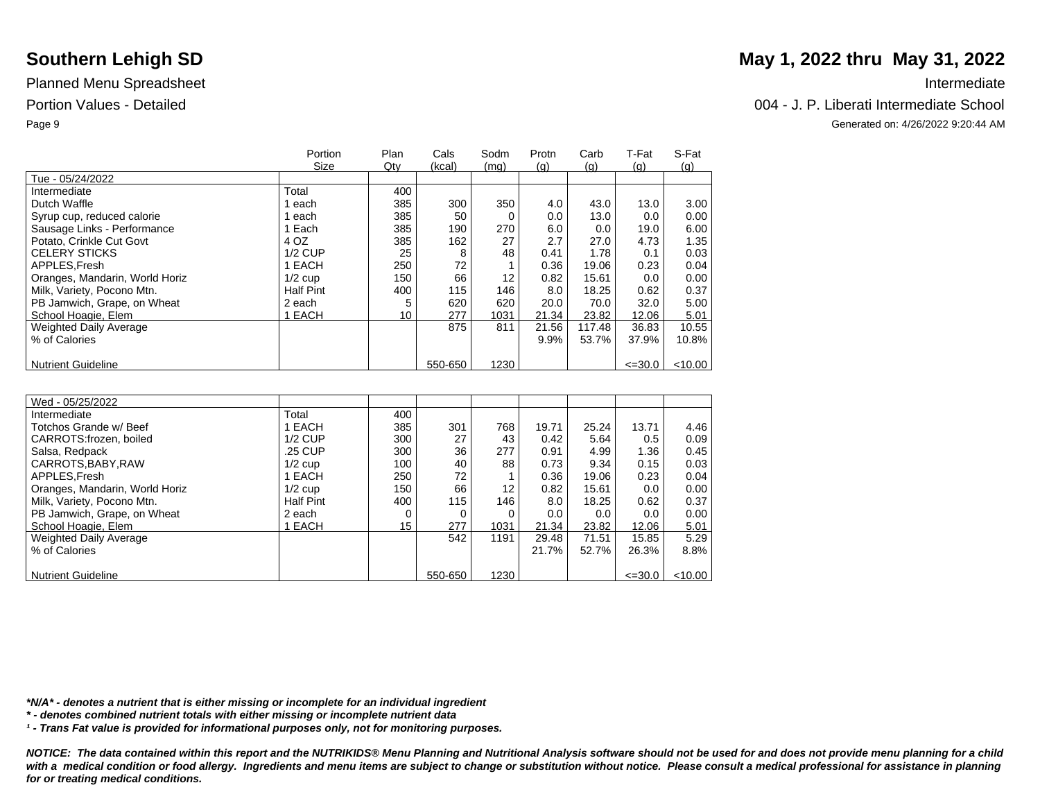|                                | Portion          | Plan | Cals    | Sodm | Protn | Carb   | T-Fat       | S-Fat      |
|--------------------------------|------------------|------|---------|------|-------|--------|-------------|------------|
|                                | Size             | Qty  | (kcal)  | (mq) | (q)   | (q)    | (q)         | <u>(g)</u> |
| Tue - 05/24/2022               |                  |      |         |      |       |        |             |            |
| Intermediate                   | Total            | 400  |         |      |       |        |             |            |
| Dutch Waffle                   | each             | 385  | 300     | 350  | 4.0   | 43.0   | 13.0        | 3.00       |
| Syrup cup, reduced calorie     | each             | 385  | 50      |      | 0.0   | 13.0   | 0.0         | 0.00       |
| Sausage Links - Performance    | 1 Each           | 385  | 190     | 270  | 6.0   | 0.0    | 19.0        | 6.00       |
| Potato, Crinkle Cut Govt       | 4 OZ             | 385  | 162     | 27   | 2.7   | 27.0   | 4.73        | 1.35       |
| <b>CELERY STICKS</b>           | $1/2$ CUP        | 25   | 8       | 48   | 0.41  | 1.78   | 0.1         | 0.03       |
| APPLES.Fresh                   | 1 EACH           | 250  | 72      |      | 0.36  | 19.06  | 0.23        | 0.04       |
| Oranges, Mandarin, World Horiz | $1/2$ cup        | 150  | 66      | 12   | 0.82  | 15.61  | 0.0         | 0.00       |
| Milk, Variety, Pocono Mtn.     | <b>Half Pint</b> | 400  | 115     | 146  | 8.0   | 18.25  | 0.62        | 0.37       |
| PB Jamwich, Grape, on Wheat    | 2 each           |      | 620     | 620  | 20.0  | 70.0   | 32.0        | 5.00       |
| School Hoagie, Elem            | 1 EACH           | 10   | 277     | 1031 | 21.34 | 23.82  | 12.06       | 5.01       |
| <b>Weighted Daily Average</b>  |                  |      | 875     | 811  | 21.56 | 117.48 | 36.83       | 10.55      |
| % of Calories                  |                  |      |         |      | 9.9%  | 53.7%  | 37.9%       | 10.8%      |
|                                |                  |      |         |      |       |        |             |            |
| <b>Nutrient Guideline</b>      |                  |      | 550-650 | 1230 |       |        | $\leq 30.0$ | $<$ 10.00  |

| Wed - 05/25/2022               |                  |     |         |      |       |       |             |           |
|--------------------------------|------------------|-----|---------|------|-------|-------|-------------|-----------|
| Intermediate                   | Total            | 400 |         |      |       |       |             |           |
| Totchos Grande w/ Beef         | 1 EACH           | 385 | 301     | 768  | 19.71 | 25.24 | 13.71       | 4.46      |
| CARROTS: frozen, boiled        | $1/2$ CUP        | 300 | 27      | 43   | 0.42  | 5.64  | 0.5         | 0.09      |
| Salsa, Redpack                 | .25 CUP          | 300 | 36      | 277  | 0.91  | 4.99  | 1.36        | 0.45      |
| CARROTS, BABY, RAW             | $1/2$ cup        | 100 | 40      | 88   | 0.73  | 9.34  | 0.15        | 0.03      |
| APPLES.Fresh                   | 1 EACH           | 250 | 72      |      | 0.36  | 19.06 | 0.23        | 0.04      |
| Oranges, Mandarin, World Horiz | $1/2$ cup        | 150 | 66      | 12   | 0.82  | 15.61 | 0.0         | 0.00      |
| Milk, Variety, Pocono Mtn.     | <b>Half Pint</b> | 400 | 115     | 146  | 8.0   | 18.25 | 0.62        | 0.37      |
| PB Jamwich, Grape, on Wheat    | 2 each           | 0   | 0       |      | 0.0   | 0.0   | 0.0         | 0.00      |
| School Hoagie, Elem            | 1 EACH           | 15  | 277     | 1031 | 21.34 | 23.82 | 12.06       | 5.01      |
| <b>Weighted Daily Average</b>  |                  |     | 542     | 1191 | 29.48 | 71.51 | 15.85       | 5.29      |
| % of Calories                  |                  |     |         |      | 21.7% | 52.7% | 26.3%       | 8.8%      |
|                                |                  |     |         |      |       |       |             |           |
| <b>Nutrient Guideline</b>      |                  |     | 550-650 | 1230 |       |       | $\leq 30.0$ | $<$ 10.00 |

*\*N/A\* - denotes a nutrient that is either missing or incomplete for an individual ingredient*

*\* - denotes combined nutrient totals with either missing or incomplete nutrient data*

*¹ - Trans Fat value is provided for informational purposes only, not for monitoring purposes.*

*NOTICE: The data contained within this report and the NUTRIKIDS® Menu Planning and Nutritional Analysis software should not be used for and does not provide menu planning for a child*  with a medical condition or food allergy. Ingredients and menu items are subject to change or substitution without notice. Please consult a medical professional for assistance in planning *for or treating medical conditions.*

# **Southern Lehigh SD** May 1, 2022 thru May 31, 2022

### Portion Values - Detailed 004 - J. P. Liberati Intermediate School

Page 9 Generated on: 4/26/2022 9:20:44 AM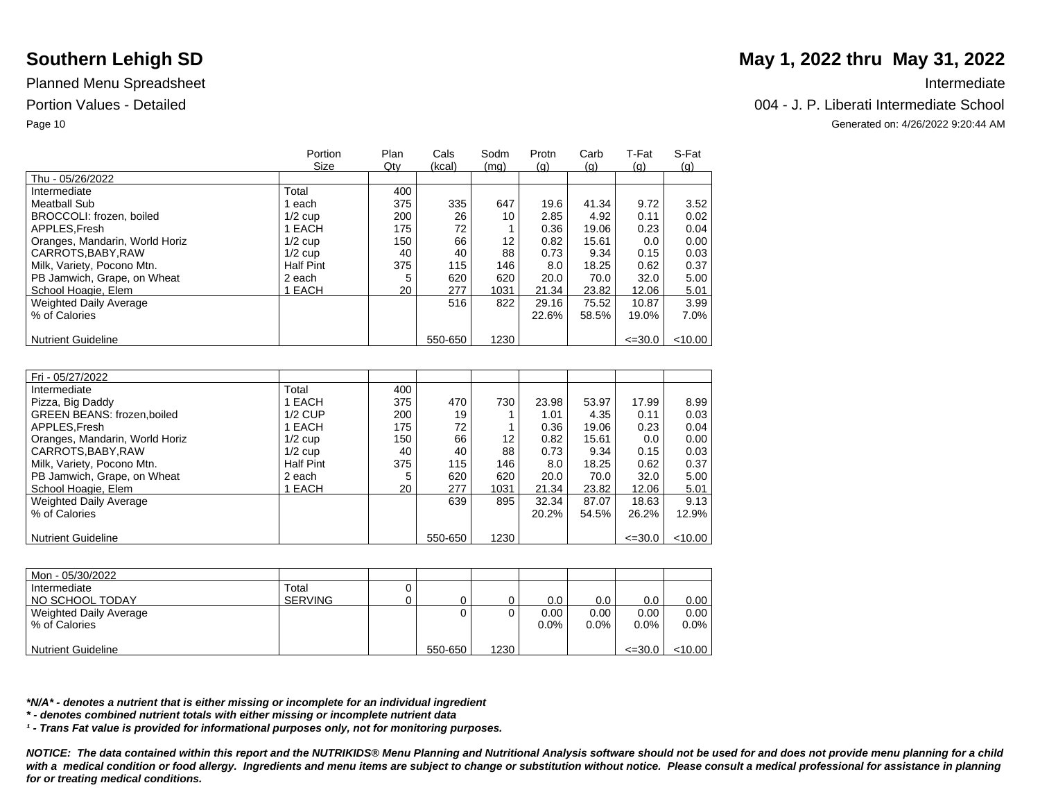|                                | Portion<br>Size | Plan<br>Qty | Cals<br>(kcal) | Sodm<br>(mq) | Protn<br>(q) | Carb<br>(q) | T-Fat<br>(q) | S-Fat<br><u>(g)</u> |
|--------------------------------|-----------------|-------------|----------------|--------------|--------------|-------------|--------------|---------------------|
| Thu - 05/26/2022               |                 |             |                |              |              |             |              |                     |
| Intermediate                   | Total           | 400         |                |              |              |             |              |                     |
| Meatball Sub                   | each            | 375         | 335            | 647          | 19.6         | 41.34       | 9.72         | 3.52                |
| BROCCOLI: frozen, boiled       | $1/2$ cup       | 200         | 26             | 10           | 2.85         | 4.92        | 0.11         | 0.02                |
| APPLES.Fresh                   | 1 EACH          | 175         | 72             |              | 0.36         | 19.06       | 0.23         | 0.04                |
| Oranges, Mandarin, World Horiz | $1/2$ cup       | 150         | 66             | 12           | 0.82         | 15.61       | 0.0          | 0.00                |
| CARROTS, BABY, RAW             | $1/2$ cup       | 40          | 40             | 88           | 0.73         | 9.34        | 0.15         | 0.03                |
| Milk, Variety, Pocono Mtn.     | Half Pint       | 375         | 115            | 146          | 8.0          | 18.25       | 0.62         | 0.37                |
| PB Jamwich, Grape, on Wheat    | 2 each          |             | 620            | 620          | 20.0         | 70.0        | 32.0         | 5.00                |
| School Hoagie, Elem            | <b>EACH</b>     | 20          | 277            | 1031         | 21.34        | 23.82       | 12.06        | 5.01                |
| Weighted Daily Average         |                 |             | 516            | 822          | 29.16        | 75.52       | 10.87        | 3.99                |
| % of Calories                  |                 |             |                |              | 22.6%        | 58.5%       | 19.0%        | 7.0%                |
|                                |                 |             |                |              |              |             |              |                     |
| <b>Nutrient Guideline</b>      |                 |             | 550-650        | 1230         |              |             | $\leq 30.0$  | < 10.00             |

| Fri - 05/27/2022                  |                  |     |         |                   |       |       |             |         |
|-----------------------------------|------------------|-----|---------|-------------------|-------|-------|-------------|---------|
| Intermediate                      | Total            | 400 |         |                   |       |       |             |         |
| Pizza, Big Daddy                  | EACH             | 375 | 470     | 730               | 23.98 | 53.97 | 17.99       | 8.99    |
| <b>GREEN BEANS: frozen,boiled</b> | $1/2$ CUP        | 200 | 19      |                   | 1.01  | 4.35  | 0.11        | 0.03    |
| APPLES, Fresh                     | 1 EACH           | 175 | 72      |                   | 0.36  | 19.06 | 0.23        | 0.04    |
| Oranges, Mandarin, World Horiz    | $1/2$ cup        | 150 | 66      | $12 \overline{ }$ | 0.82  | 15.61 | 0.0         | 0.00    |
| CARROTS, BABY, RAW                | $1/2$ cup        | 40  | 40      | 88                | 0.73  | 9.34  | 0.15        | 0.03    |
| Milk, Variety, Pocono Mtn.        | <b>Half Pint</b> | 375 | 115     | 146               | 8.0   | 18.25 | 0.62        | 0.37    |
| PB Jamwich, Grape, on Wheat       | 2 each           | 5   | 620     | 620               | 20.0  | 70.0  | 32.0        | 5.00    |
| School Hoagie, Elem               | EACH             | 20  | 277     | 1031              | 21.34 | 23.82 | 12.06       | 5.01    |
| <b>Weighted Daily Average</b>     |                  |     | 639     | 895               | 32.34 | 87.07 | 18.63       | 9.13    |
| % of Calories                     |                  |     |         |                   | 20.2% | 54.5% | 26.2%       | 12.9%   |
|                                   |                  |     |         |                   |       |       |             |         |
| <b>Nutrient Guideline</b>         |                  |     | 550-650 | 1230              |       |       | $\leq 30.0$ | < 10.00 |

| Mon - 05/30/2022          |                |         |      |         |         |             |           |
|---------------------------|----------------|---------|------|---------|---------|-------------|-----------|
| Intermediate              | Total          |         |      |         |         |             |           |
| NO SCHOOL TODAY           | <b>SERVING</b> |         |      | 0.0     | 0.0     | 0.0         | 0.00      |
| Weighted Daily Average    |                |         |      | 0.00    | 0.00    | 0.00        | 0.00      |
| % of Calories             |                |         |      | $0.0\%$ | $0.0\%$ | $0.0\%$     | $0.0\%$   |
|                           |                |         |      |         |         |             |           |
| <b>Nutrient Guideline</b> |                | 550-650 | 1230 |         |         | $\leq 30.0$ | $<$ 10.00 |

*\*N/A\* - denotes a nutrient that is either missing or incomplete for an individual ingredient*

*\* - denotes combined nutrient totals with either missing or incomplete nutrient data*

*¹ - Trans Fat value is provided for informational purposes only, not for monitoring purposes.*

*NOTICE: The data contained within this report and the NUTRIKIDS® Menu Planning and Nutritional Analysis software should not be used for and does not provide menu planning for a child*  with a medical condition or food allergy. Ingredients and menu items are subject to change or substitution without notice. Please consult a medical professional for assistance in planning *for or treating medical conditions.*

# **Southern Lehigh SD** May 1, 2022 thru May 31, 2022

### Portion Values - Detailed Chool and The Chool and The Chool and The Chool and The Chool and The Chool and The Chool and The Chool and The Chool and The Chool and The Chool and The Chool and The Chool and The Chool and The

Page 10 Generated on: 4/26/2022 9:20:44 AM